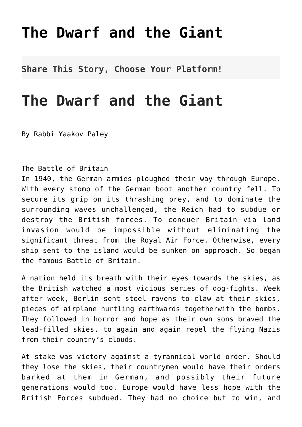## **[The Dwarf and the Giant](http://noahide.org/the-dwarf-and-the-giant/)**

**Share This Story, Choose Your Platform!**

## **The Dwarf and the Giant**

By Rabbi Yaakov Paley

## The Battle of Britain

In 1940, the German armies ploughed their way through Europe. With every stomp of the German boot another country fell. To secure its grip on its thrashing prey, and to dominate the surrounding waves unchallenged, the Reich had to subdue or destroy the British forces. To conquer Britain via land invasion would be impossible without eliminating the significant threat from the Royal Air Force. Otherwise, every ship sent to the island would be sunken on approach. So began the famous Battle of Britain.

A nation held its breath with their eyes towards the skies, as the British watched a most vicious series of dog-fights. Week after week, Berlin sent steel ravens to claw at their skies, pieces of airplane hurtling earthwards togetherwith the bombs. They followed in horror and hope as their own sons braved the lead-filled skies, to again and again repel the flying Nazis from their country's clouds.

At stake was victory against a tyrannical world order. Should they lose the skies, their countrymen would have their orders barked at them in German, and possibly their future generations would too. Europe would have less hope with the British Forces subdued. They had no choice but to win, and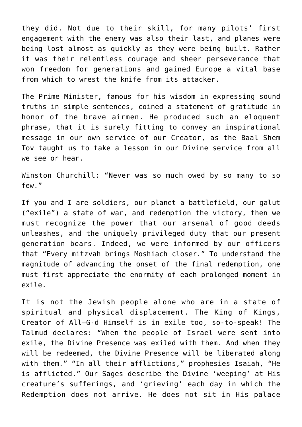they did. Not due to their skill, for many pilots' first engagement with the enemy was also their last, and planes were being lost almost as quickly as they were being built. Rather it was their relentless courage and sheer perseverance that won freedom for generations and gained Europe a vital base from which to wrest the knife from its attacker.

The Prime Minister, famous for his wisdom in expressing sound truths in simple sentences, coined a statement of gratitude in honor of the brave airmen. He produced such an eloquent phrase, that it is surely fitting to convey an inspirational message in our own service of our Creator, as the Baal Shem Tov taught us to take a lesson in our Divine service from all we see or hear.

Winston Churchill: "Never was so much owed by so many to so few."

If you and I are soldiers, our planet a battlefield, our galut ("exile") a state of war, and redemption the victory, then we must recognize the power that our arsenal of good deeds unleashes, and the uniquely privileged duty that our present generation bears. Indeed, we were informed by our officers that "Every mitzvah brings Moshiach closer." To understand the magnitude of advancing the onset of the final redemption, one must first appreciate the enormity of each prolonged moment in exile.

It is not the Jewish people alone who are in a state of spiritual and physical displacement. The King of Kings, Creator of All–G-d Himself is in exile too, so-to-speak! The Talmud declares: "When the people of Israel were sent into exile, the Divine Presence was exiled with them. And when they will be redeemed, the Divine Presence will be liberated along with them." "In all their afflictions," prophesies Isaiah, "He is afflicted." Our Sages describe the Divine 'weeping' at His creature's sufferings, and 'grieving' each day in which the Redemption does not arrive. He does not sit in His palace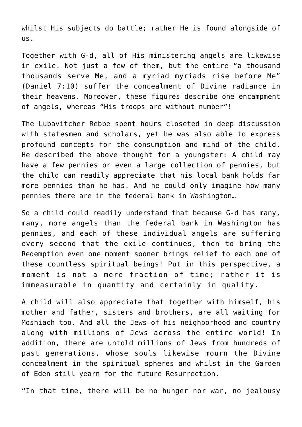whilst His subjects do battle; rather He is found alongside of us.

Together with G-d, all of His ministering angels are likewise in exile. Not just a few of them, but the entire "a thousand thousands serve Me, and a myriad myriads rise before Me" (Daniel 7:10) suffer the concealment of Divine radiance in their heavens. Moreover, these figures describe one encampment of angels, whereas "His troops are without number"!

The Lubavitcher Rebbe spent hours closeted in deep discussion with statesmen and scholars, yet he was also able to express profound concepts for the consumption and mind of the child. He described the above thought for a youngster: A child may have a few pennies or even a large collection of pennies, but the child can readily appreciate that his local bank holds far more pennies than he has. And he could only imagine how many pennies there are in the federal bank in Washington…

So a child could readily understand that because G-d has many, many, more angels than the federal bank in Washington has pennies, and each of these individual angels are suffering every second that the exile continues, then to bring the Redemption even one moment sooner brings relief to each one of these countless spiritual beings! Put in this perspective, a moment is not a mere fraction of time; rather it is immeasurable in quantity and certainly in quality.

A child will also appreciate that together with himself, his mother and father, sisters and brothers, are all waiting for Moshiach too. And all the Jews of his neighborhood and country along with millions of Jews across the entire world! In addition, there are untold millions of Jews from hundreds of past generations, whose souls likewise mourn the Divine concealment in the spiritual spheres and whilst in the Garden of Eden still yearn for the future Resurrection.

"In that time, there will be no hunger nor war, no jealousy